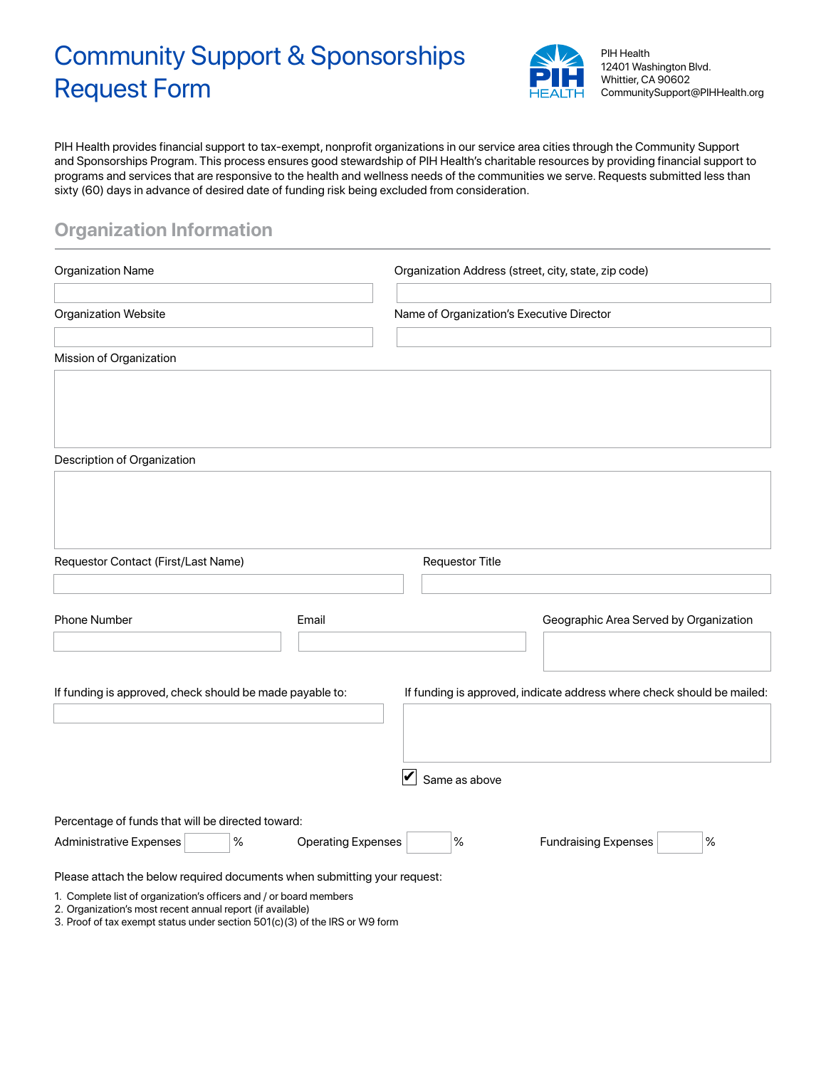# Community Support & Sponsorships Request Form



PIH Health 12401 Washington Blvd. Whittier, CA 90602 CommunitySupport@PIHHealth.org

PIH Health provides financial support to tax-exempt, nonprofit organizations in our service area cities through the Community Support and Sponsorships Program. This process ensures good stewardship of PIH Health's charitable resources by providing financial support to programs and services that are responsive to the health and wellness needs of the communities we serve. Requests submitted less than sixty (60) days in advance of desired date of funding risk being excluded from consideration.

## **Organization Information**

| <b>Organization Name</b><br>Organization Website                                                                                 |                           | Organization Address (street, city, state, zip code)                   |               |                                        |  |  |
|----------------------------------------------------------------------------------------------------------------------------------|---------------------------|------------------------------------------------------------------------|---------------|----------------------------------------|--|--|
|                                                                                                                                  |                           | Name of Organization's Executive Director                              |               |                                        |  |  |
| Mission of Organization                                                                                                          |                           |                                                                        |               |                                        |  |  |
|                                                                                                                                  |                           |                                                                        |               |                                        |  |  |
| Description of Organization                                                                                                      |                           |                                                                        |               |                                        |  |  |
|                                                                                                                                  |                           |                                                                        |               |                                        |  |  |
|                                                                                                                                  |                           |                                                                        |               |                                        |  |  |
| Requestor Contact (First/Last Name)                                                                                              |                           | <b>Requestor Title</b>                                                 |               |                                        |  |  |
|                                                                                                                                  |                           |                                                                        |               |                                        |  |  |
| Phone Number<br>Email                                                                                                            |                           |                                                                        |               | Geographic Area Served by Organization |  |  |
|                                                                                                                                  |                           |                                                                        |               |                                        |  |  |
| If funding is approved, check should be made payable to:                                                                         |                           | If funding is approved, indicate address where check should be mailed: |               |                                        |  |  |
|                                                                                                                                  |                           |                                                                        |               |                                        |  |  |
|                                                                                                                                  |                           | $\blacktriangledown$                                                   | Same as above |                                        |  |  |
|                                                                                                                                  |                           |                                                                        |               |                                        |  |  |
| Percentage of funds that will be directed toward:                                                                                |                           |                                                                        |               |                                        |  |  |
| $\%$<br><b>Administrative Expenses</b>                                                                                           | <b>Operating Expenses</b> |                                                                        | $\%$          | $\%$<br><b>Fundraising Expenses</b>    |  |  |
| Please attach the below required documents when submitting your request:                                                         |                           |                                                                        |               |                                        |  |  |
| 1. Complete list of organization's officers and / or board members<br>2. Organization's most recent annual report (if available) |                           |                                                                        |               |                                        |  |  |

3. Proof of tax exempt status under section 501(c)(3) of the IRS or W9 form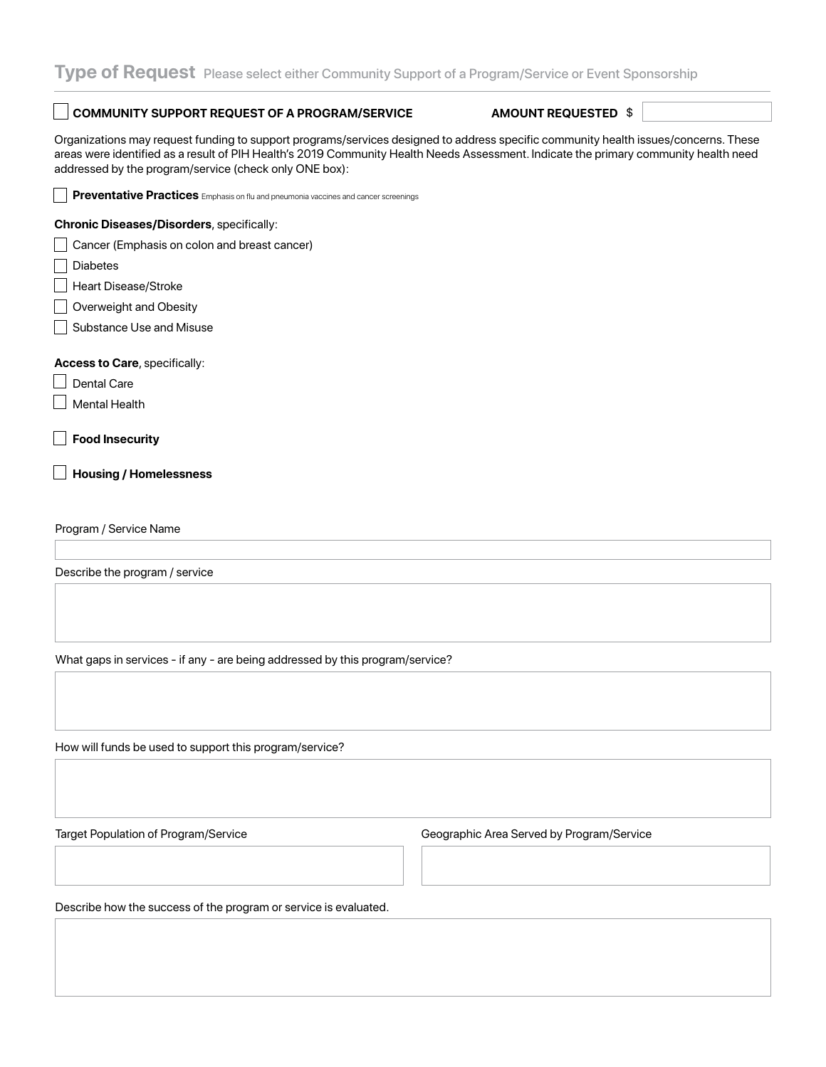#### **COMMUNITY SUPPORT REQUEST OF A PROGRAM/SERVICE**

#### **AMOUNT REQUESTED \$**

Organizations may request funding to support programs/services designed to address specific community health issues/concerns. These areas were identified as a result of PIH Health's 2019 Community Health Needs Assessment. Indicate the primary community health need addressed by the program/service (check only ONE box):

| Preventative Practices Emphasis on flu and pneumonia vaccines and cancer screenings |  |  |  |  |  |
|-------------------------------------------------------------------------------------|--|--|--|--|--|
| <b>Chronic Diseases/Disorders, specifically:</b>                                    |  |  |  |  |  |
| Cancer (Emphasis on colon and breast cancer)                                        |  |  |  |  |  |
| <b>Diabetes</b>                                                                     |  |  |  |  |  |
| Heart Disease/Stroke                                                                |  |  |  |  |  |
| Overweight and Obesity                                                              |  |  |  |  |  |
| Substance Use and Misuse                                                            |  |  |  |  |  |
| Access to Care, specifically:<br><b>Dental Care</b>                                 |  |  |  |  |  |
| Mental Health                                                                       |  |  |  |  |  |
| <b>Food Insecurity</b><br><b>Housing / Homelessness</b>                             |  |  |  |  |  |
| Program / Service Name                                                              |  |  |  |  |  |
| Describe the program / service                                                      |  |  |  |  |  |
| What gaps in services - if any - are being addressed by this program/service?       |  |  |  |  |  |
|                                                                                     |  |  |  |  |  |

How will funds be used to support this program/service?

Target Population of Program/Service Geographic Area Served by Program/Service

Describe how the success of the program or service is evaluated.